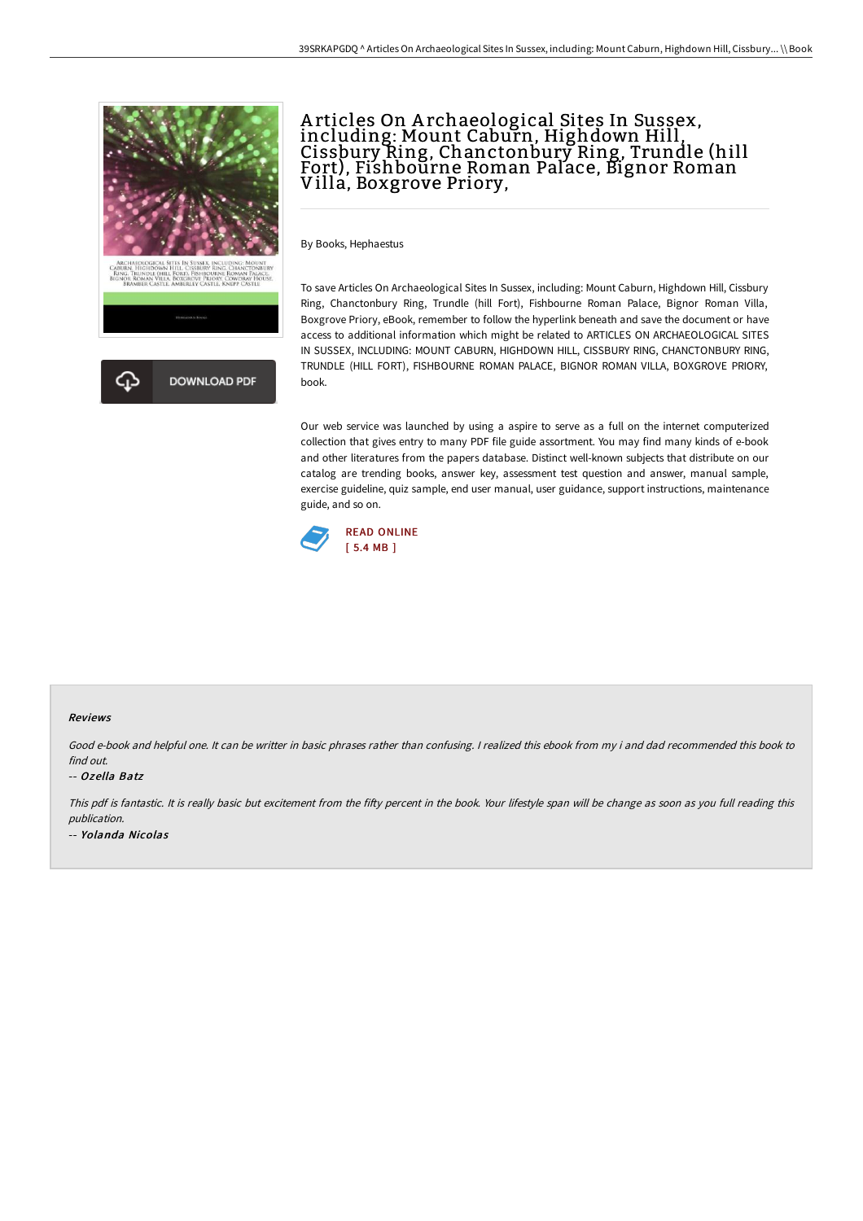

# A rticles On A rchaeological Sites In Sussex, including: Mount Caburn, Highdown Hill, Cissbury Ring, Chanctonbury Ring, Trundle (hill Fort), Fishbourne Roman Palace, Bignor Roman Villa, Boxgrove Priory,

By Books, Hephaestus

To save Articles On Archaeological Sites In Sussex, including: Mount Caburn, Highdown Hill, Cissbury Ring, Chanctonbury Ring, Trundle (hill Fort), Fishbourne Roman Palace, Bignor Roman Villa, Boxgrove Priory, eBook, remember to follow the hyperlink beneath and save the document or have access to additional information which might be related to ARTICLES ON ARCHAEOLOGICAL SITES IN SUSSEX, INCLUDING: MOUNT CABURN, HIGHDOWN HILL, CISSBURY RING, CHANCTONBURY RING, TRUNDLE (HILL FORT), FISHBOURNE ROMAN PALACE, BIGNOR ROMAN VILLA, BOXGROVE PRIORY, book.

Our web service was launched by using a aspire to serve as a full on the internet computerized collection that gives entry to many PDF file guide assortment. You may find many kinds of e-book and other literatures from the papers database. Distinct well-known subjects that distribute on our catalog are trending books, answer key, assessment test question and answer, manual sample, exercise guideline, quiz sample, end user manual, user guidance, support instructions, maintenance guide, and so on.



### Reviews

Good e-book and helpful one. It can be writter in basic phrases rather than confusing. <sup>I</sup> realized this ebook from my i and dad recommended this book to find out.

#### -- Ozella Batz

This pdf is fantastic. It is really basic but excitement from the fifty percent in the book. Your lifestyle span will be change as soon as you full reading this publication. -- Yolanda Nicolas